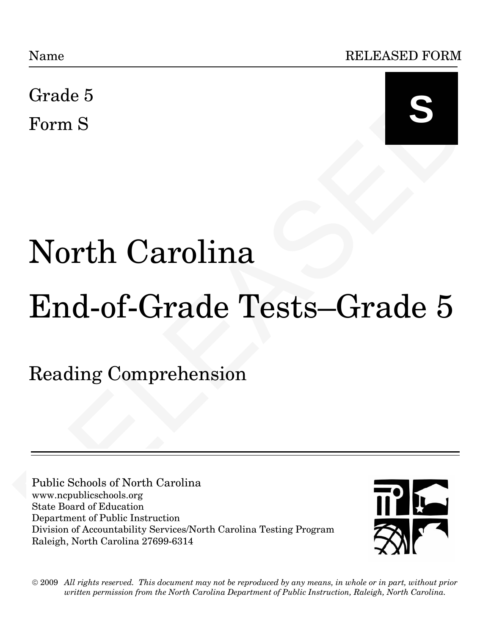

# Grade 5<br>
Form S<br>
North Carolina<br>
End-of-Grade Tests—Grade 5<br>
Reading Comprehension<br>
Reading Comprehension<br>
Nuble Schools of North Carolina<br>
State Board of Reading<br>
Division of Around Protection<br>
Division of Around Protecti Name<br>
Grade 5<br>
Form S<br>
North Carolina<br>
End-of-Grade Tests—Grade 5<br>
Reading Comprehension<br>
Tublic Schools of North Carolina<br>
State Board of Education<br>
Public Schools of North Carolina<br>
Public Schools of North Carolina<br>
Publ North Carolina End-of-Grade Tests—Grade 5

Reading Comprehension

Public Schools of North Carolina www.ncpublicschools.org State Board of Education Department of Public Instruction Division of Accountability Services/North Carolina Testing Program Raleigh, North Carolina 27699-6314



 $\odot$  2009  $\,$  All rights reserved. This document may not be reproduced by any means, in whole or in part, without prior *written permission from the North Carolina Department of Public Instruction, Raleigh, North Carolina. written permission from the North Carolina Department of Public Instruction, Raleigh, North Carolina.*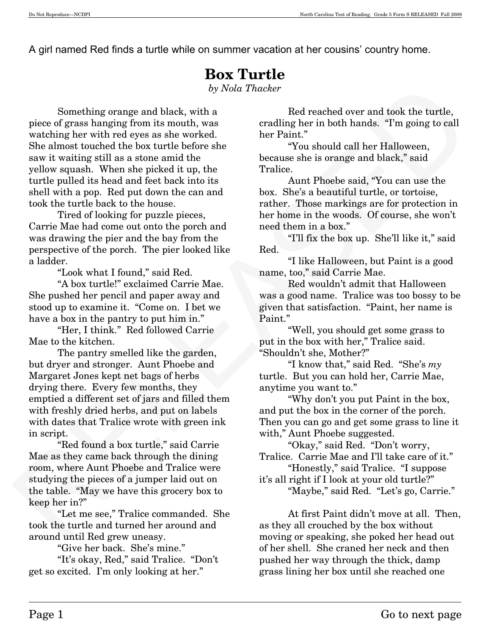A girl named Red finds a turtle while on summer vacation at her cousins' country home.

# **Box Turtle**

*by Nola Thacker* 

Something orange and black, with a<br>meeting orange and black, with a<br>meeting range and black, with a<br>meeting her in both hands. The ping to call with red to give us the variable place in<br>the control of the box turtle befor Something orange and black, with a piece of grass hanging from its mouth, was watching her with red eyes as she worked. She almost touched the box turtle before she saw it waiting still as a stone amid the yellow squash. When she picked it up, the turtle pulled its head and feet back into its shell with a pop. Red put down the can and took the turtle back to the house.

 Tired of looking for puzzle pieces, Carrie Mae had come out onto the porch and was drawing the pier and the bay from the perspective of the porch. The pier looked like a ladder.

"Look what I found," said Red.

 "A box turtle!" exclaimed Carrie Mae. She pushed her pencil and paper away and stood up to examine it. "Come on. I bet we have a box in the pantry to put him in."

 "Her, I think." Red followed Carrie Mae to the kitchen.

 The pantry smelled like the garden, but dryer and stronger. Aunt Phoebe and Margaret Jones kept net bags of herbs drying there. Every few months, they emptied a different set of jars and filled them with freshly dried herbs, and put on labels with dates that Tralice wrote with green ink in script.

 "Red found a box turtle," said Carrie Mae as they came back through the dining room, where Aunt Phoebe and Tralice were studying the pieces of a jumper laid out on the table. "May we have this grocery box to keep her in?"

 "Let me see," Tralice commanded. She took the turtle and turned her around and around until Red grew uneasy.

"Give her back. She's mine."

 "It's okay, Red," said Tralice. "Don't get so excited. I'm only looking at her."

 Red reached over and took the turtle, cradling her in both hands. "I'm going to call her Paint."

 "You should call her Halloween, because she is orange and black," said Tralice.

 Aunt Phoebe said, "You can use the box. She's a beautiful turtle, or tortoise, rather. Those markings are for protection in her home in the woods. Of course, she won't need them in a box."

 "I'll fix the box up. She'll like it," said Red.

 "I like Halloween, but Paint is a good name, too," said Carrie Mae.

 Red wouldn't admit that Halloween was a good name. Tralice was too bossy to be given that satisfaction. "Paint, her name is Paint."

 "Well, you should get some grass to put in the box with her," Tralice said. "Shouldn't she, Mother?"

 "I know that," said Red. "She's *my* turtle. But you can hold her, Carrie Mae, anytime you want to."

 "Why don't you put Paint in the box, and put the box in the corner of the porch. Then you can go and get some grass to line it with," Aunt Phoebe suggested.

 "Okay," said Red. "Don't worry, Tralice. Carrie Mae and I'll take care of it."

 "Honestly," said Tralice. "I suppose it's all right if I look at your old turtle?"

"Maybe," said Red. "Let's go, Carrie."

At first Paint didn't move at all. Then, as they all crouched by the box without moving or speaking, she poked her head out of her shell. She craned her neck and then pushed her way through the thick, damp grass lining her box until she reached one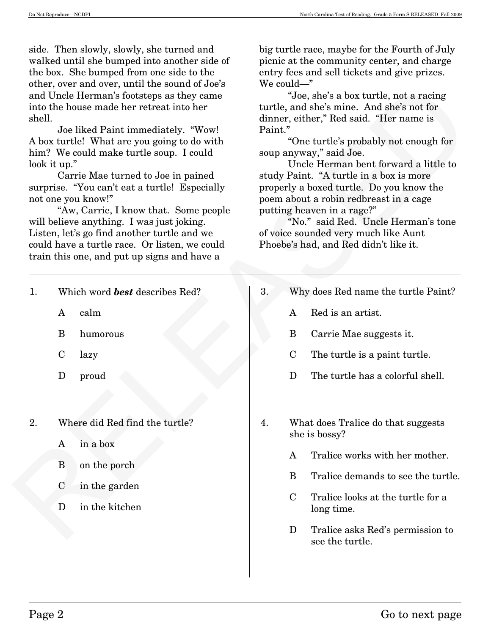side. Then slowly, slowly, she turned and walked until she bumped into another side of the box. She bumped from one side to the other, over and over, until the sound of Joe's and Uncle Herman's footsteps as they came into the house made her retreat into her shell.

big turtle race, maybe for the Fourth of July picnic at the community center, and charge entry fees and sell tickets and give prizes. We could—"

| shell. | other, over and over, until the sound of Joe's<br>and Uncle Herman's footsteps as they came<br>into the house made her retreat into her<br>Joe liked Paint immediately. "Wow!<br>A box turtle! What are you going to do with<br>him? We could make turtle soup. I could<br>look it up."<br>Carrie Mae turned to Joe in pained<br>surprise. "You can't eat a turtle! Especially<br>not one you know!"<br>"Aw, Carrie, I know that. Some people<br>will believe anything. I was just joking.<br>Listen, let's go find another turtle and we<br>could have a turtle race. Or listen, we could<br>train this one, and put up signs and have a | We could— $\ddot{\ }$<br>"Joe, she's a box turtle, not a racing<br>turtle, and she's mine. And she's not for<br>dinner, either," Red said. "Her name is<br>Paint."<br>"One turtle's probably not enough for<br>soup anyway," said Joe.<br>Uncle Herman bent forward a little to<br>study Paint. "A turtle in a box is more<br>properly a boxed turtle. Do you know the<br>poem about a robin redbreast in a cage<br>putting heaven in a rage?"<br>"No." said Red. Uncle Herman's tone<br>of voice sounded very much like Aunt<br>Phoebe's had, and Red didn't like it. |
|--------|-------------------------------------------------------------------------------------------------------------------------------------------------------------------------------------------------------------------------------------------------------------------------------------------------------------------------------------------------------------------------------------------------------------------------------------------------------------------------------------------------------------------------------------------------------------------------------------------------------------------------------------------|------------------------------------------------------------------------------------------------------------------------------------------------------------------------------------------------------------------------------------------------------------------------------------------------------------------------------------------------------------------------------------------------------------------------------------------------------------------------------------------------------------------------------------------------------------------------|
| 1.     | Which word <b>best</b> describes Red?<br>calm<br>A<br>B<br>humorous<br>$\mathbf C$<br>lazy<br>D<br>proud                                                                                                                                                                                                                                                                                                                                                                                                                                                                                                                                  | 3.<br>Why does Red name the turtle Paint?<br>Red is an artist.<br>A<br>B<br>Carrie Mae suggests it.<br>$\mathbf C$<br>The turtle is a paint turtle.<br>D<br>The turtle has a colorful shell.                                                                                                                                                                                                                                                                                                                                                                           |
| 2.     | Where did Red find the turtle?<br>A in a box<br>on the porch<br>B<br>$\mathbf C$<br>in the garden<br>in the kitchen<br>D                                                                                                                                                                                                                                                                                                                                                                                                                                                                                                                  | What does Tralice do that suggests<br>4.<br>she is bossy?<br>Tralice works with her mother.<br>$\bf{A}$<br>B<br>Tralice demands to see the turtle.<br>Tralice looks at the turtle for a<br>$\mathbf C$<br>long time.<br>D<br>Tralice asks Red's permission to<br>see the turtle.                                                                                                                                                                                                                                                                                       |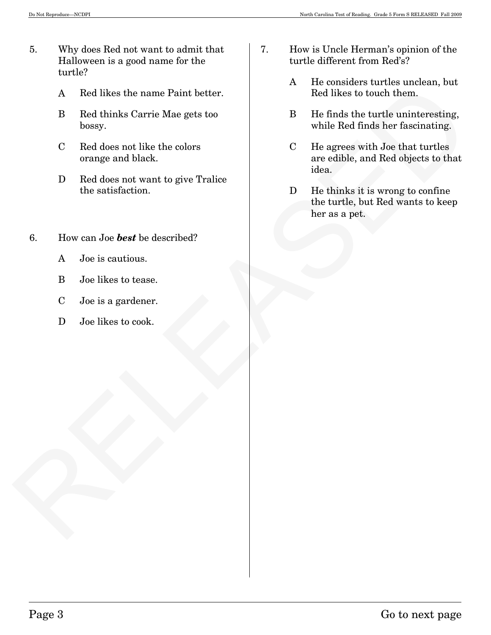- 5. Why does Red not want to admit that Halloween is a good name for the turtle?
	- A Red likes the name Paint better.
	- B Red thinks Carrie Mae gets too bossy.
	- C Red does not like the colors orange and black.
	- D Red does not want to give Tralice the satisfaction.
- 6. How can Joe *best* be described?
	- A Joe is cautious.
	- B Joe likes to tease.
	- C Joe is a gardener.
	- D Joe likes to cook.
- 7. How is Uncle Herman's opinion of the turtle different from Red's?
	- A He considers turtles unclean, but Red likes to touch them.
	- B He finds the turtle uninteresting, while Red finds her fascinating.
- A Red likes to to name Paint better.<br>
B Red times to touch them.<br>
D Rel does not like the colors<br>
C Red does not like the colors<br>
C Red does not like the colors<br>
C Regress with Jose that turning.<br>
C Red does not want to gi C He agrees with Joe that turtles are edible, and Red objects to that idea.
	- D He thinks it is wrong to confine the turtle, but Red wants to keep her as a pet.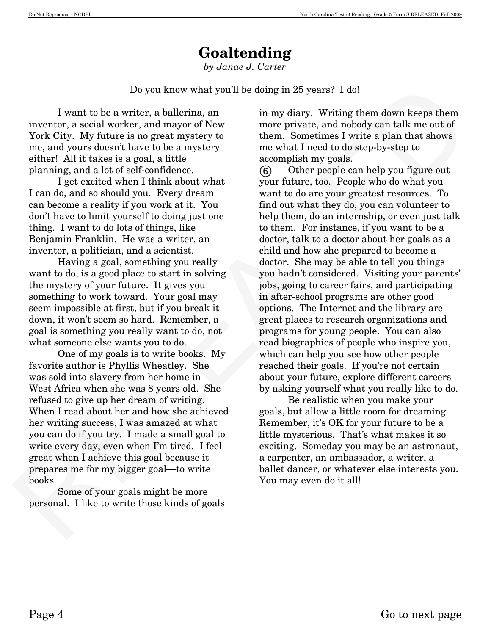# **Goaltending**

*by Janae J. Carter* 

Do you know what you'll be doing in 25 years? I do!

I want to be a writer, a ballerina, an inventor, a social worker, and mayor of New York City. My future is no great mystery to me, and yours doesn't have to be a mystery either! All it takes is a goal, a little planning, and a lot of self-confidence.

I get excited when I think about what I can do, and so should you. Every dream can become a reality if you work at it. You don't have to limit yourself to doing just one thing. I want to do lots of things, like Benjamin Franklin. He was a writer, an inventor, a politician, and a scientist.

Having a goal, something you really want to do, is a good place to start in solving the mystery of your future. It gives you something to work toward. Your goal may seem impossible at first, but if you break it down, it won't seem so hard. Remember, a goal is something you really want to do, not what someone else wants you to do.

One of my goals is to write books. My favorite author is Phyllis Wheatley. She was sold into slavery from her home in West Africa when she was 8 years old. She refused to give up her dream of writing. When I read about her and how she achieved her writing success, I was amazed at what you can do if you try. I made a small goal to write every day, even when I'm tired. I feel great when I achieve this goal because it prepares me for my bigger goal–to write books.

 Some of your goals might be more personal. I like to write those kinds of goals in my diary. Writing them down keeps them more private, and nobody can talk me out of them. Sometimes I write a plan that shows me what I need to do step-by-step to accomplish my goals.

Do you know what you'll be doing in 25 years? I dol<br>
1 want to be a writter, a hallering, and may they writter, then dawn keeps them<br>
inventor, a social worker, and may<br>or of New more private, and noboly can talk me out o Other people can help you figure out your future, too. People who do what you want to do are your greatest resources. To find out what they do, you can volunteer to help them, do an internship, or even just talk to them. For instance, if you want to be a doctor, talk to a doctor about her goals as a child and how she prepared to become a doctor. She may be able to tell you things you hadn't considered. Visiting your parents' jobs, going to career fairs, and participating in after-school programs are other good options. The Internet and the library are great places to research organizations and programs for young people. You can also read biographies of people who inspire you, which can help you see how other people reached their goals. If you're not certain about your future, explore different careers by asking yourself what you really like to do. **-**

Be realistic when you make your goals, but allow a little room for dreaming. Remember, it's OK for your future to be a little mysterious. That's what makes it so exciting. Someday you may be an astronaut, a carpenter, an ambassador, a writer, a ballet dancer, or whatever else interests you. You may even do it all!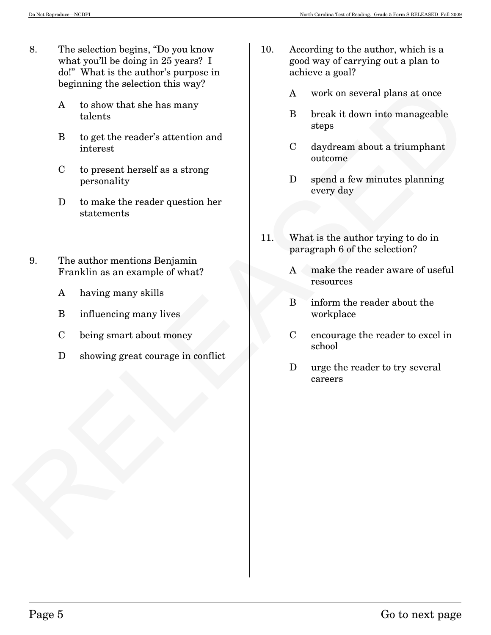- 8. The selection begins, "Do you know what you'll be doing in 25 years? I do!" What is the author's purpose in beginning the selection this way?
	- A to show that she has many talents
	- B to get the reader's attention and interest
	- C to present herself as a strong personality
	- D to make the reader question her statements
- Beginning the selection this way?<br>
A vork on several plans at once<br>
latents<br>
B to get the reader's attention and<br>
interest<br>
C to present herself us u strong<br>
personality<br>
D to make the reader question her<br>
studients Beingi 9. The author mentions Benjamin Franklin as an example of what?
	- A having many skills
	- B influencing many lives
	- C being smart about money
	- D showing great courage in conflict
- 10. According to the author, which is a good way of carrying out a plan to achieve a goal?
	- A work on several plans at once
	- B break it down into manageable steps
	- C daydream about a triumphant outcome
	- D spend a few minutes planning every day
- 11. What is the author trying to do in paragraph 6 of the selection?
	- A make the reader aware of useful resources
	- B inform the reader about the workplace
	- C encourage the reader to excel in school
	- D urge the reader to try several careers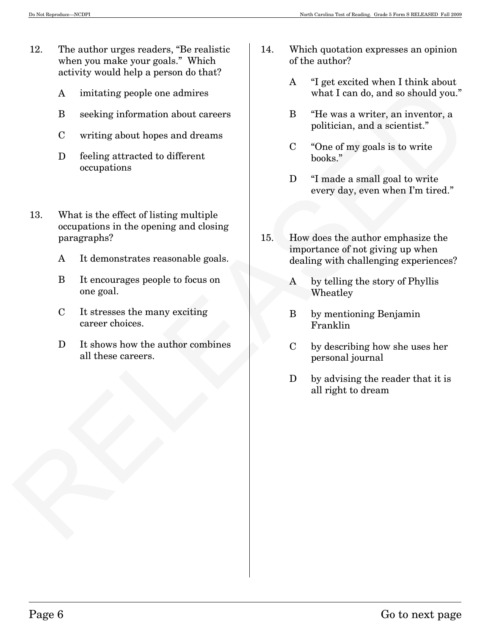- 12. The author urges readers, "Be realistic when you make your goals." Which activity would help a person do that?
	- A imitating people one admires
	- B seeking information about careers
	- C writing about hopes and dreams
	- D feeling attracted to different occupations
- RELEASED 13. What is the effect of listing multiple occupations in the opening and closing paragraphs?
	- A It demonstrates reasonable goals.
	- B It encourages people to focus on one goal.
	- C It stresses the many exciting career choices.
	- D It shows how the author combines all these careers.
- 14. Which quotation expresses an opinion of the author?
	- A "I get excited when I think about what I can do, and so should you."
	- B "He was a writer, an inventor, a politician, and a scientist."
	- C "One of my goals is to write books."
	- D "I made a small goal to write every day, even when I'm tired."
- 15. How does the author emphasize the importance of not giving up when dealing with challenging experiences?
	- A by telling the story of Phyllis Wheatley
	- B by mentioning Benjamin Franklin
	- C by describing how she uses her personal journal
	- D by advising the reader that it is all right to dream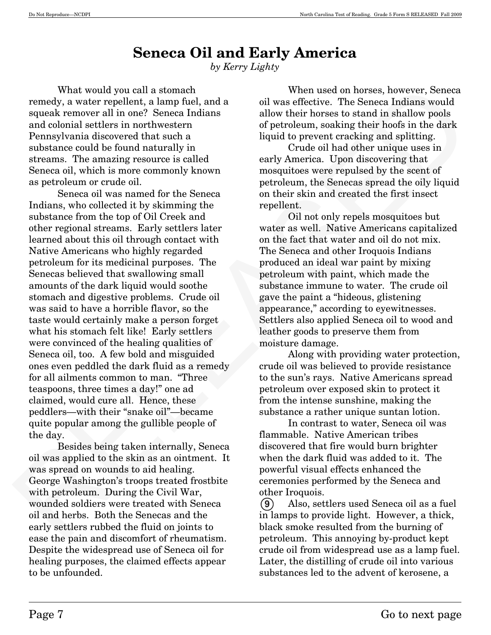# **Seneca Oil and Early America**

*by Kerry Lighty* 

What would you call a stomach remedy, a water repellent, a lamp fuel, and a squeak remover all in one? Seneca Indians and colonial settlers in northwestern Pennsylvania discovered that such a substance could be found naturally in streams. The amazing resource is called Seneca oil, which is more commonly known as petroleum or crude oil.

When would you call a stamment of the means however, Seeneca and the stamment of the stamment of the stationary of the stationary of the stationary and an expectable and a stationary and an expectation and convention and Seneca oil was named for the Seneca Indians, who collected it by skimming the substance from the top of Oil Creek and other regional streams. Early settlers later learned about this oil through contact with Native Americans who highly regarded petroleum for its medicinal purposes. The Senecas believed that swallowing small amounts of the dark liquid would soothe stomach and digestive problems. Crude oil was said to have a horrible flavor, so the taste would certainly make a person forget what his stomach felt like! Early settlers were convinced of the healing qualities of Seneca oil, too. A few bold and misguided ones even peddled the dark fluid as a remedy for all ailments common to man. "Three teaspoons, three times a day!" one ad claimed, would cure all. Hence, these peddlers–with their "snake oil"–became quite popular among the gullible people of the day.

Besides being taken internally, Seneca oil was applied to the skin as an ointment. It was spread on wounds to aid healing. George Washington's troops treated frostbite with petroleum. During the Civil War, wounded soldiers were treated with Seneca oil and herbs. Both the Senecas and the early settlers rubbed the fluid on joints to ease the pain and discomfort of rheumatism. Despite the widespread use of Seneca oil for healing purposes, the claimed effects appear to be unfounded.

When used on horses, however, Seneca oil was effective. The Seneca Indians would allow their horses to stand in shallow pools of petroleum, soaking their hoofs in the dark liquid to prevent cracking and splitting.

Crude oil had other unique uses in early America. Upon discovering that mosquitoes were repulsed by the scent of petroleum, the Senecas spread the oily liquid on their skin and created the first insect repellent.

Oil not only repels mosquitoes but water as well. Native Americans capitalized on the fact that water and oil do not mix. The Seneca and other Iroquois Indians produced an ideal war paint by mixing petroleum with paint, which made the substance immune to water. The crude oil gave the paint a "hideous, glistening appearance," according to eyewitnesses. Settlers also applied Seneca oil to wood and leather goods to preserve them from moisture damage.

Along with providing water protection, crude oil was believed to provide resistance to the sun's rays. Native Americans spread petroleum over exposed skin to protect it from the intense sunshine, making the substance a rather unique suntan lotion.

In contrast to water, Seneca oil was flammable. Native American tribes discovered that fire would burn brighter when the dark fluid was added to it. The powerful visual effects enhanced the ceremonies performed by the Seneca and other Iroquois.

Also, settlers used Seneca oil as a fuel in lamps to provide light. However, a thick, black smoke resulted from the burning of petroleum. This annoying by-product kept crude oil from widespread use as a lamp fuel. Later, the distilling of crude oil into various substances led to the advent of kerosene, a  $(9)$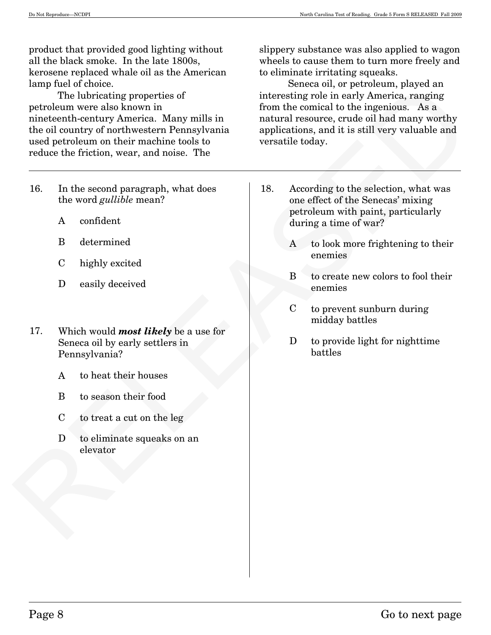product that provided good lighting without all the black smoke. In the late 1800s, kerosene replaced whale oil as the American lamp fuel of choice.

For the control of the control of the second of the second of the second of the second in the control of the proposition of the second particle of the control of the second particle of the second particle of the second pa The lubricating properties of petroleum were also known in nineteenth-century America. Many mills in the oil country of northwestern Pennsylvania used petroleum on their machine tools to reduce the friction, wear, and noise. The

- 16. In the second paragraph, what does the word *gullible* mean?
	- A confident
	- B determined
	- C highly excited
	- D easily deceived
- 17. Which would *most likely* be a use for Seneca oil by early settlers in Pennsylvania?
	- A to heat their houses
	- B to season their food
	- C to treat a cut on the leg
	- D to eliminate squeaks on an elevator

slippery substance was also applied to wagon wheels to cause them to turn more freely and to eliminate irritating squeaks.

Seneca oil, or petroleum, played an interesting role in early America, ranging from the comical to the ingenious. As a natural resource, crude oil had many worthy applications, and it is still very valuable and versatile today.

- 18. According to the selection, what was one effect of the Senecas' mixing petroleum with paint, particularly during a time of war?
	- A to look more frightening to their enemies
	- B to create new colors to fool their enemies
	- C to prevent sunburn during midday battles
	- D to provide light for nighttime battles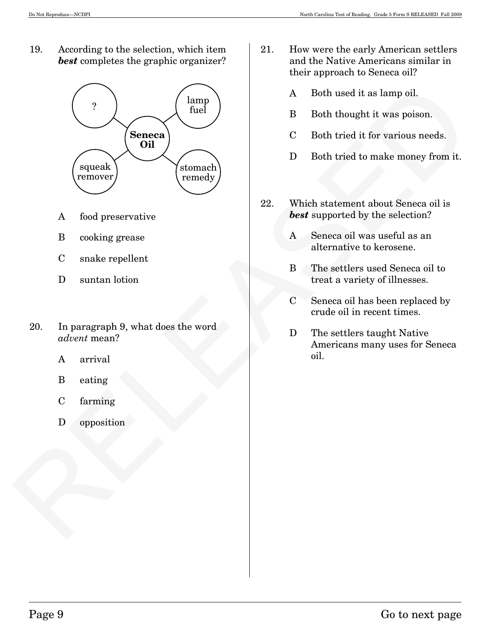19. According to the selection, which item *best* completes the graphic organizer?



- A food preservative
- B cooking grease
- C snake repellent
- D suntan lotion
- 20. In paragraph 9, what does the word *advent* mean?
	- A arrival
	- B eating
	- C farming
	- D opposition
- 21. How were the early American settlers and the Native Americans similar in their approach to Seneca oil?
	- A Both used it as lamp oil.
	- B Both thought it was poison.
	- C Both tried it for various needs.
	- D Both tried to make money from it.
- 22. Which statement about Seneca oil is *best* supported by the selection?
	- A Seneca oil was useful as an alternative to kerosene.
	- B The settlers used Seneca oil to treat a variety of illnesses.
	- C Seneca oil has been replaced by crude oil in recent times.
	- D The settlers taught Native Americans many uses for Seneca oil.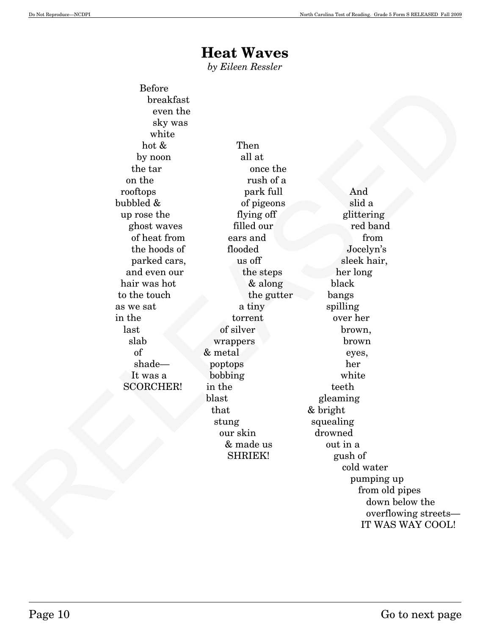## **Heat Waves**

*by Eileen Ressler* 

 Before breakfast even the sky was white hot & Then by noon all at the tar once the on the rush of a rooftops park full And bubbled & of pigeons slid a up rose the flying off glittering ghost waves filled our red band of heat from ears and from from the hoods of flooded Jocelyn's parked cars, us off sleek hair, and even our the steps her long hair was hot  $\&$  along black to the touch the gutter bangs as we sat a tiny spilling in the torrent over her last of silver brown, slab wrappers brown of & metal eyes, shade— poptops her It was a bobbing white SCORCHER! in the teeth

blast gleaming that & bright stung squealing our skin drowned & made us out in a SHRIEK! gush of

 $\begin{tabular}{lcccccc} B-bcbro \\ b-bcd & b-bcd \\ & b-bcd & b+bcd \\ & b+bcd & b+bcd \\ & b+bcd & b+bcd \\ & b+bcd & b+bcd \\ & b+bcd & b+bcd \\ & b+bcd & b+bcd \\ & b+bcd & b+bcd \\ & b+bcd & b+bcd \\ & b+bcd & b+bcd \\ & b+bcd & b+bcd \\ & b+bcd & b+bcd \\ & b+bcd & b+bcd \\ & b+bcd & b+bcd \\ & b+bcd & b+bcd \\ & b+bcd & b+bcd \\ & b+bcd & b+bcd \\ & b+bcd & b+bcd \\ & b+bcd & b$  cold water pumping up from old pipes down below the overflowing streets– IT WAS WAY COOL!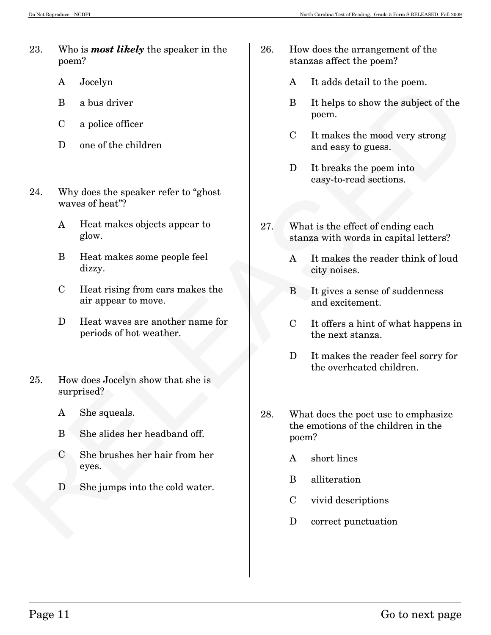- 23. Who is *most likely* the speaker in the poem?
	- A Jocelyn
	- B a bus driver
	- C a police officer
	- D one of the children
- 24. Why does the speaker refer to "ghost waves of heat"?
	- A Heat makes objects appear to glow.
	- B Heat makes some people feel dizzy.
	- C Heat rising from cars makes the air appear to move.
	- D Heat waves are another name for periods of hot weather.
- 25. How does Jocelyn show that she is surprised?
	- A She squeals.
	- B She slides her headband off.
	- C She brushes her hair from her eyes.
	- D She jumps into the cold water.
- 26. How does the arrangement of the stanzas affect the poem?
	- A It adds detail to the poem.
	- B It helps to show the subject of the poem.
	- C It makes the mood very strong and easy to guess.
	- D It breaks the poem into easy-to-read sections.
- 27. What is the effect of ending each stanza with words in capital letters?
	- A It makes the reader think of loud city noises.
	- B It gives a sense of suddenness and excitement.
	- C It offers a hint of what happens in the next stanza.
	- D It makes the reader feel sorry for the overheated children.
- A vocay<br>
1 2 (a) a hus driver<br>
C a police officer<br>
C a police officer<br>
C a police officer<br>
C b and show the subjects of the<br>
component of the behavior of the subjects of the poem.<br>
21. Why does the speaker refer to "ghost 28. What does the poet use to emphasize the emotions of the children in the poem?
	- A short lines
	- B alliteration
	- C vivid descriptions
	- D correct punctuation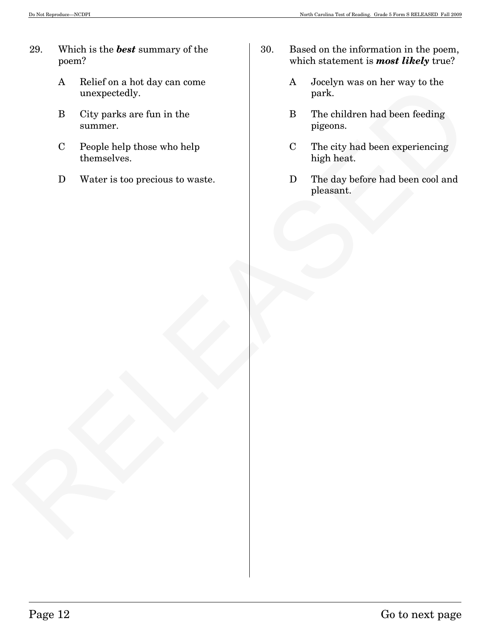- 29. Which is the *best* summary of the poem?
	- A Relief on a hot day can come unexpectedly.
	- B City parks are fun in the summer.
	- C People help those who help themselves.
	- D Water is too precious to waste.
- 30. Based on the information in the poem, which statement is *most likely* true?
	- A Jocelyn was on her way to the park.
	- B The children had been feeding pigeons.
	- C The city had been experiencing high heat.
- The children had been feeding<br>
increased by the state of the children had been feeding<br>
Despite help these who help<br>
C People help these who help<br>
C The city had been experiencing<br>
D Water is too precious to waste.<br>
D The D The day before had been cool and pleasant.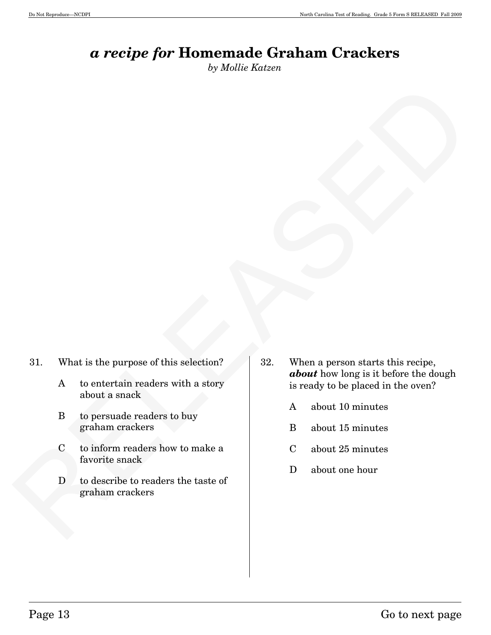# *a recipe for* **Homemade Graham Crackers**

*by Mollie Katzen*

- 31. What is the purpose of this selection?
	- A to entertain readers with a story about a snack
	- B to persuade readers to buy graham crackers
	- C to inform readers how to make a favorite snack
	- D to describe to readers the taste of graham crackers
- RELEASED 32. When a person starts this recipe, *about* how long is it before the dough is ready to be placed in the oven?
	- A about 10 minutes
	- B about 15 minutes
	- C about 25 minutes
	- D about one hour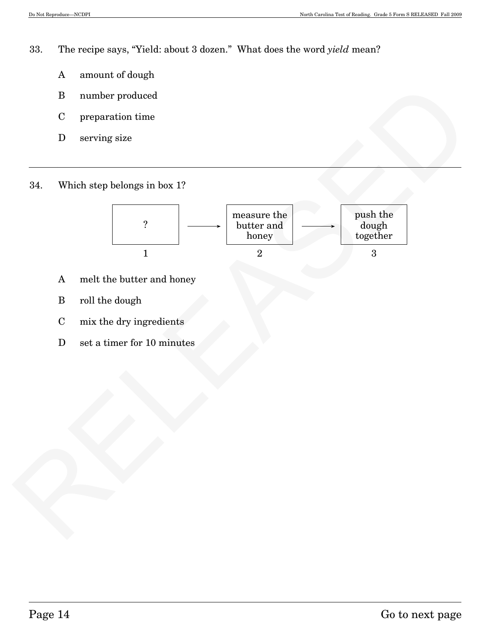33. The recipe says, "Yield: about 3 dozen." What does the word *yield* mean?

- A amount of dough
- B number produced
- C preparation time
- D serving size
- 34. Which step belongs in box 1?



- A melt the butter and honey
- B roll the dough
- C mix the dry ingredients
- D set a timer for 10 minutes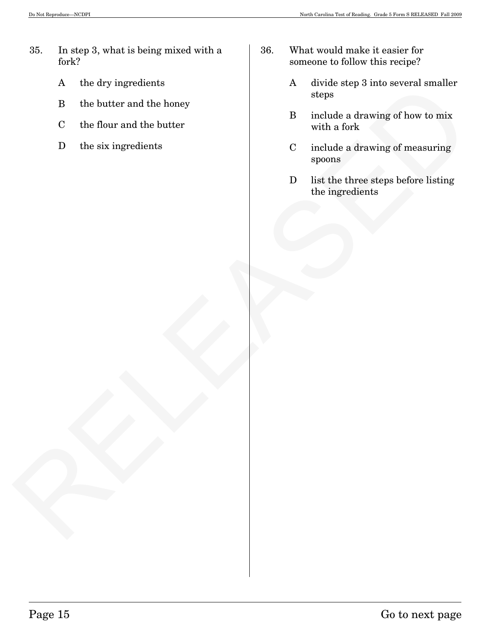- 35. In step 3, what is being mixed with a fork?
	- A the dry ingredients
	- B the butter and the honey
	- C the flour and the butter
	- D the six ingredients
- 36. What would make it easier for someone to follow this recipe?
	- A divide step 3 into several smaller steps
	- B include a drawing of how to mix with a fork
	- C include a drawing of measuring spoons
- A the by mysearent and the horse of the back of the back of the back of the back of the back of the back of the back of the back of the six ingredients.<br>
Distribute a direction of the six ingredients<br>  $\frac{1}{2}$  include a d D list the three steps before listing the ingredients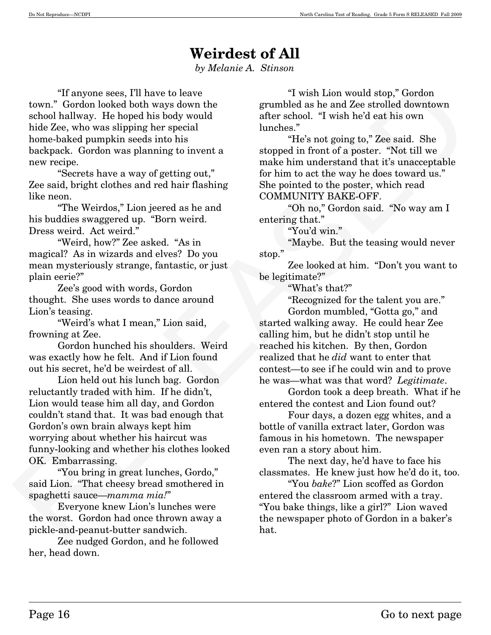# **Weirdest of All**

*by Melanie A. Stinson* 

"If anyone sees, I'll have to leave town." Gordon looked both ways down the school hallway. He hoped his body would hide Zee, who was slipping her special home-baked pumpkin seeds into his backpack. Gordon was planning to invent a new recipe.

 "Secrets have a way of getting out," Zee said, bright clothes and red hair flashing like neon.

 "The Weirdos," Lion jeered as he and his buddies swaggered up. "Born weird. Dress weird. Act weird."

 "Weird, how?" Zee asked. "As in magical? As in wizards and elves? Do you mean mysteriously strange, fantastic, or just plain eerie?"

 Zee's good with words, Gordon thought. She uses words to dance around Lion's teasing.

 "Weird's what I mean," Lion said, frowning at Zee.

 Gordon hunched his shoulders. Weird was exactly how he felt. And if Lion found out his secret, he'd be weirdest of all.

The worse seen (Th hove to leave a in twist Line mound at<br>note. The control of the signal in the signal of the signal in the signal of the signal in the signal in the signal in the signal in the signal in the signal in th Lion held out his lunch bag. Gordon reluctantly traded with him. If he didn't, Lion would tease him all day, and Gordon couldn't stand that. It was bad enough that Gordon's own brain always kept him worrying about whether his haircut was funny-looking and whether his clothes looked OK. Embarrassing.

 "You bring in great lunches, Gordo," said Lion. "That cheesy bread smothered in spaghetti sauce–*mamma mia!*"

 Everyone knew Lion's lunches were the worst. Gordon had once thrown away a pickle-and-peanut-butter sandwich.

 Zee nudged Gordon, and he followed her, head down.

"I wish Lion would stop," Gordon grumbled as he and Zee strolled downtown after school. "I wish he'd eat his own lunches."

 "He's not going to," Zee said. She stopped in front of a poster. "Not till we make him understand that it's unacceptable for him to act the way he does toward us." She pointed to the poster, which read COMMUNITY BAKE-OFF.

 "Oh no," Gordon said. "No way am I entering that."

"You'd win."

 "Maybe. But the teasing would never stop."

 Zee looked at him. "Don't you want to be legitimate?"

"What's that?"

"Recognized for the talent you are."

 Gordon mumbled, "Gotta go," and started walking away. He could hear Zee calling him, but he didn't stop until he reached his kitchen. By then, Gordon realized that he *did* want to enter that contest–to see if he could win and to prove he was–what was that word? *Legitimate*.

 Gordon took a deep breath. What if he entered the contest and Lion found out?

Four days, a dozen egg whites, and a bottle of vanilla extract later, Gordon was famous in his hometown. The newspaper even ran a story about him.

 The next day, he'd have to face his classmates. He knew just how he'd do it, too.

 "You *bake*?" Lion scoffed as Gordon entered the classroom armed with a tray. "You bake things, like a girl?" Lion waved the newspaper photo of Gordon in a baker's hat.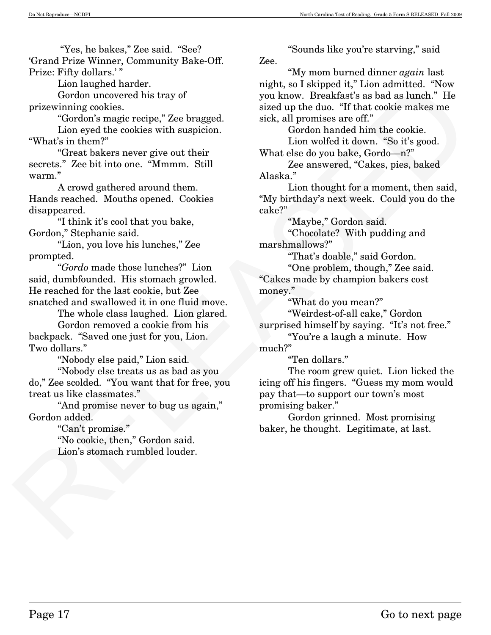"Yes, he bakes," Zee said. "See? 'Grand Prize Winner, Community Bake-Off. Prize: Fifty dollars.'"

Lion laughed harder.

Gordon uncovered his tray of prizewinning cookies.

 "Gordon's magic recipe," Zee bragged. Lion eyed the cookies with suspicion. "What's in them?"

 "Great bakers never give out their secrets." Zee bit into one. "Mmmm. Still warm."

 A crowd gathered around them. Hands reached. Mouths opened. Cookies disappeared.

 "I think it's cool that you bake, Gordon," Stephanie said.

 "Lion, you love his lunches," Zee prompted.

 "*Gordo* made those lunches?" Lion said, dumbfounded. His stomach growled. He reached for the last cookie, but Zee snatched and swallowed it in one fluid move.

 The whole class laughed. Lion glared. Gordon removed a cookie from his backpack. "Saved one just for you, Lion. Two dollars."

"Nobody else paid," Lion said.

 "Nobody else treats us as bad as you do," Zee scolded. "You want that for free, you treat us like classmates."

 "And promise never to bug us again," Gordon added.

"Can't promise."

 "No cookie, then," Gordon said. Lion's stomach rumbled louder.

"Sounds like you're starving," said Zee.

 "My mom burned dinner *again* last night, so I skipped it," Lion admitted. "Now you know. Breakfast's as bad as lunch." He sized up the duo. "If that cookie makes me sick, all promises are off."

 Gordon handed him the cookie. Lion wolfed it down. "So it's good. What else do you bake, Gordo–n?"

 Zee answered, "Cakes, pies, baked Alaska."

 Lion thought for a moment, then said, "My birthday's next week. Could you do the cake?"

"Maybe," Gordon said.

 "Chocolate? With pudding and marshmallows?"

"That's doable," said Gordon.

 "One problem, though," Zee said. "Cakes made by champion bakers cost money."

"What do you mean?"

 "Weirdest-of-all cake," Gordon surprised himself by saying. "It's not free."

"You're a laugh a minute. How

much?"

"Ten dollars."

Lom implement nature. The main terms is the point in the solution in the spin of the column to contour map the column relation of the column of the column of the column of the column of the column of the column of the col The room grew quiet. Lion licked the icing off his fingers. "Guess my mom would pay that–to support our town's most promising baker."

 Gordon grinned. Most promising baker, he thought. Legitimate, at last.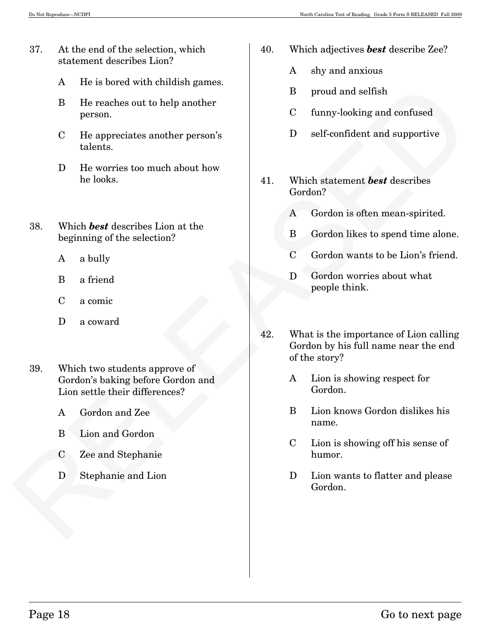- 37. At the end of the selection, which statement describes Lion?
	- A He is bored with childish games.
	- B He reaches out to help another person.
	- C He appreciates another person's talents.
	- D He worries too much about how he looks.
- 38. Which *best* describes Lion at the beginning of the selection?
	- A a bully
	- B a friend
	- C a comic
	- D a coward
- 39. Which two students approve of Gordon's baking before Gordon and Lion settle their differences?
	- A Gordon and Zee
	- B Lion and Gordon
	- C Zee and Stephanie
	- D Stephanie and Lion
- 40. Which adjectives *best* describe Zee?
	- A shy and anxious
	- B proud and selfish
	- C funny-looking and confused
	- D self-confident and supportive
- 41. Which statement *best* describes Gordon?
	- A Gordon is often mean-spirited.
	- B Gordon likes to spend time alone.
	- C Gordon wants to be Lion's friend.
	- D Gordon worries about what people think.
- Experiment and the Marina Contents and the Solution of The Marine Contents and Scheme of The Marine Contents are the specified that the beginning of the selection?<br>
2. Which heat describes labels, and the selection?<br>
2. Wh 42. What is the importance of Lion calling Gordon by his full name near the end of the story?
	- A Lion is showing respect for Gordon.
	- B Lion knows Gordon dislikes his name.
	- C Lion is showing off his sense of humor.
	- D Lion wants to flatter and please Gordon.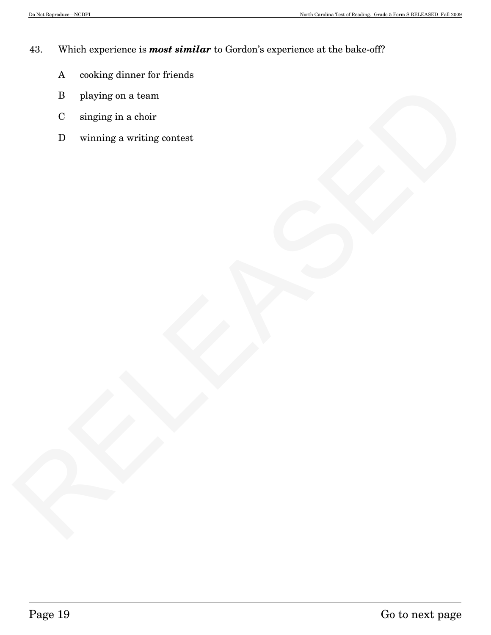### 43. Which experience is *most similar* to Gordon's experience at the bake-off?

- A cooking dinner for friends
- B playing on a team
- C singing in a choir
- RELEASED D winning a writing contest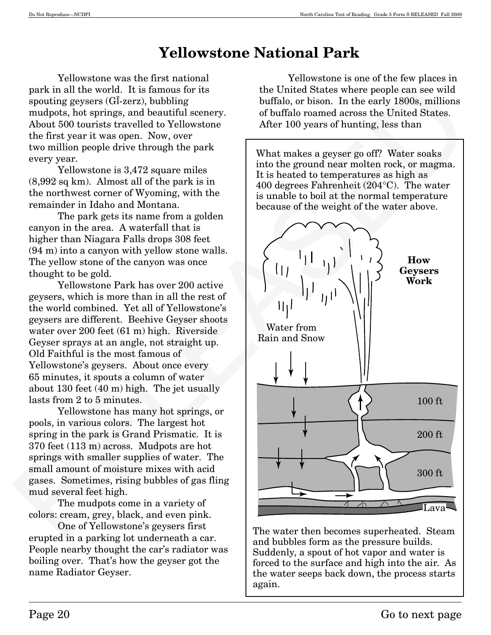# **Yellowstone National Park**

Yellowstone was the first national park in all the world. It is famous for its spouting geysers (GĪ-zerz), bubbling mudpots, hot springs, and beautiful scenery. About 500 tourists travelled to Yellowstone the first year it was open. Now, over two million people drive through the park every year.

Yellowstone is 3,472 square miles (8,992 sq km). Almost all of the park is in the northwest corner of Wyoming, with the remainder in Idaho and Montana.

The park gets its name from a golden canyon in the area. A waterfall that is higher than Niagara Falls drops 308 feet (94 m) into a canyon with yellow stone walls. The yellow stone of the canyon was once thought to be gold.

Yellowstone Park has over 200 active geysers, which is more than in all the rest of the world combined. Yet all of Yellowstone's geysers are different. Beehive Geyser shoots water over 200 feet (61 m) high. Riverside Geyser sprays at an angle, not straight up. Old Faithful is the most famous of Yellowstone's geysers. About once every 65 minutes, it spouts a column of water about 130 feet (40 m) high. The jet usually lasts from 2 to 5 minutes.

Yellowstone has many hot springs, or pools, in various colors. The largest hot spring in the park is Grand Prismatic. It is 370 feet (113 m) across. Mudpots are hot springs with smaller supplies of water. The small amount of moisture mixes with acid gases. Sometimes, rising bubbles of gas fling mud several feet high.

The mudpots come in a variety of colors: cream, grey, black, and even pink.

One of Yellowstone's geysers first erupted in a parking lot underneath a car. People nearby thought the car's radiator was boiling over. That's how the geyser got the name Radiator Geyser.

Yellowstone is one of the few places in the United States where people can see wild buffalo, or bison. In the early 1800s, millions of buffalo roamed across the United States. After 100 years of hunting, less than

What makes a geyser go off? Water soaks into the ground near molten rock, or magma. It is heated to temperatures as high as 400 degrees Fahrenheit (204°C). The water is unable to boil at the normal temperature because of the weight of the water above.



The water then becomes superheated. Steam and bubbles form as the pressure builds. Suddenly, a spout of hot vapor and water is forced to the surface and high into the air. As the water seeps back down, the process starts again.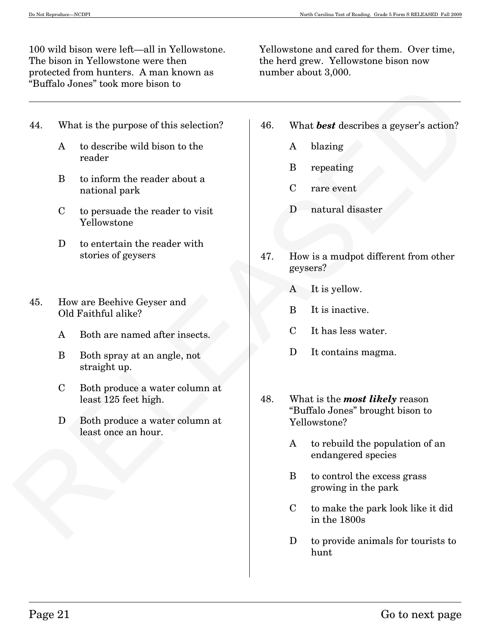100 wild bison were left–all in Yellowstone. The bison in Yellowstone were then protected from hunters. A man known as "Buffalo Jones" took more bison to

Yellowstone and cared for them. Over time, the herd grew. Yellowstone bison now number about 3,000.

- 44. What is the purpose of this selection?
	- A to describe wild bison to the reader
	- B to inform the reader about a national park
	- C to persuade the reader to visit Yellowstone
	- D to entertain the reader with stories of geysers
- 45. How are Beehive Geyser and Old Faithful alike?
	- A Both are named after insects.
	- B Both spray at an angle, not straight up.
	- C Both produce a water column at least 125 feet high.
	- D Both produce a water column at least once an hour.
- 46. What *best* describes a geyser's action?
	- A blazing
	- B repeating
	- C rare event
	- D natural disaster
- 47. How is a mudpot different from other geysers?
	- A It is yellow.
	- B It is inactive.
	- C It has less water.
	- D It contains magma.
- Futuristo Jones' took more bison to <br>
A<br>
4. What is the purpose of this selection?<br>
A<br>  $\mu$  to describe wild bison to the<br>
recolar<br>
B<br>  $\mu$  incomment the weader about a<br>
Release of paysers<br>
C the presenting<br>
C rare event<br> 48. What is the *most likely* reason "Buffalo Jones" brought bison to Yellowstone?
	- A to rebuild the population of an endangered species
	- B to control the excess grass growing in the park
	- C to make the park look like it did in the 1800s
	- D to provide animals for tourists to hunt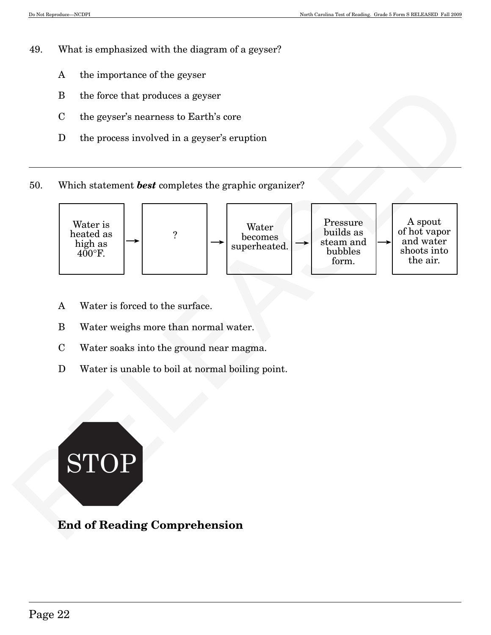- 49. What is emphasized with the diagram of a geyser?
	- A the importance of the geyser
	- B the force that produces a geyser
	- C the geyser's nearness to Earth's core
	- D the process involved in a geyser's eruption
- 50. Which statement *best* completes the graphic organizer?



- A Water is forced to the surface.
- B Water weighs more than normal water.
- C Water soaks into the ground near magma.
- D Water is unable to boil at normal boiling point.



### **End of Reading Comprehension**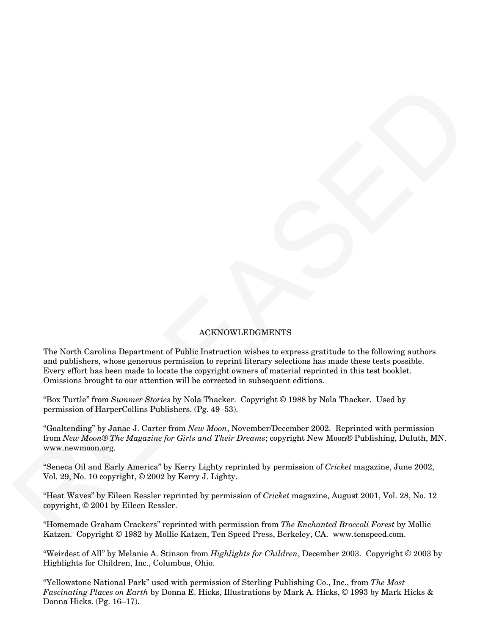### ACKNOWLEDGMENTS

 $\label{eq:21} \textbf{K}=\textbf{K}^T\mathbf{K}^T\mathbf{K}^T\mathbf{K}^T\mathbf{K}^T\mathbf{K}^T\mathbf{K}^T\mathbf{K}^T\mathbf{K}^T\mathbf{K}^T\mathbf{K}^T\mathbf{K}^T\mathbf{K}^T\mathbf{K}^T\mathbf{K}^T\mathbf{K}^T\mathbf{K}^T\mathbf{K}^T\mathbf{K}^T\mathbf{K}^T\mathbf{K}^T\mathbf{K}^T\mathbf{K}^T\mathbf{K}^T\mathbf{K}^T\mathbf{K}$ The North Carolina Department of Public Instruction wishes to express gratitude to the following authors and publishers, whose generous permission to reprint literary selections has made these tests possible. Every effort has been made to locate the copyright owners of material reprinted in this test booklet. Omissions brought to our attention will be corrected in subsequent editions.

"Box Turtle" from *Summer Stories* by Nola Thacker. Copyright © 1988 by Nola Thacker. Used by permission of HarperCollins Publishers. (Pg. 49—53).

"Goaltending" by Janae J. Carter from *New Moon*, November/December 2002. Reprinted with permission from *New Moon*® *The Magazine for Girls and Their Dreams*; copyright New Moon® Publishing, Duluth, MN. www.newmoon.org.

"Seneca Oil and Early America" by Kerry Lighty reprinted by permission of *Cricket* magazine, June 2002, Vol. 29, No. 10 copyright, © 2002 by Kerry J. Lighty.

"Heat Waves" by Eileen Ressler reprinted by permission of *Cricket* magazine, August 2001, Vol. 28, No. 12 copyright, © 2001 by Eileen Ressler.

"Homemade Graham Crackers" reprinted with permission from *The Enchanted Broccoli Forest* by Mollie Katzen. Copyright © 1982 by Mollie Katzen, Ten Speed Press, Berkeley, CA. www.tenspeed.com.

"Weirdest of All" by Melanie A. Stinson from *Highlights for Children*, December 2003. Copyright © 2003 by Highlights for Children, Inc., Columbus, Ohio.

"Yellowstone National Park" used with permission of Sterling Publishing Co., Inc., from *The Most Fascinating Places on Earth* by Donna E. Hicks, Illustrations by Mark A. Hicks, © 1993 by Mark Hicks & Donna Hicks. (Pg. 16—17).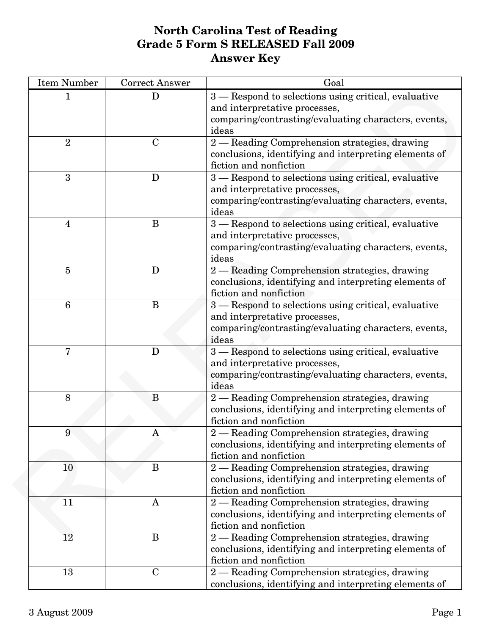| <b>Item Number</b> | <b>Correct Answer</b> | Goal                                                                                                                                                   |
|--------------------|-----------------------|--------------------------------------------------------------------------------------------------------------------------------------------------------|
|                    | D                     | 3 - Respond to selections using critical, evaluative<br>and interpretative processes,<br>comparing/contrasting/evaluating characters, events,<br>ideas |
| $\overline{2}$     | $\mathbf C$           | 2 - Reading Comprehension strategies, drawing<br>conclusions, identifying and interpreting elements of<br>fiction and nonfiction                       |
| 3                  | D                     | 3 – Respond to selections using critical, evaluative<br>and interpretative processes,<br>comparing/contrasting/evaluating characters, events,<br>ideas |
| 4                  | B                     | 3 - Respond to selections using critical, evaluative<br>and interpretative processes,<br>comparing/contrasting/evaluating characters, events,<br>ideas |
| $\overline{5}$     | D                     | 2 - Reading Comprehension strategies, drawing<br>conclusions, identifying and interpreting elements of<br>fiction and nonfiction                       |
| $6\phantom{1}6$    | B                     | 3 - Respond to selections using critical, evaluative<br>and interpretative processes,<br>comparing/contrasting/evaluating characters, events,<br>ideas |
| 7                  | D                     | 3 – Respond to selections using critical, evaluative<br>and interpretative processes,<br>comparing/contrasting/evaluating characters, events,<br>ideas |
| 8                  | B                     | 2 - Reading Comprehension strategies, drawing<br>conclusions, identifying and interpreting elements of<br>fiction and nonfiction                       |
| q                  | A                     | - Reading Comprehension strategies, drawing<br>$\overline{2}$<br>conclusions, identifying and interpreting elements of<br>fiction and nonfiction       |
| 10                 | B                     | 2 - Reading Comprehension strategies, drawing<br>conclusions, identifying and interpreting elements of<br>fiction and nonfiction                       |
| 11                 | $\mathbf{A}$          | 2 - Reading Comprehension strategies, drawing<br>conclusions, identifying and interpreting elements of<br>fiction and nonfiction                       |
| 12                 | B                     | 2 - Reading Comprehension strategies, drawing<br>conclusions, identifying and interpreting elements of<br>fiction and nonfiction                       |
| 13                 | $\mathbf C$           | 2 - Reading Comprehension strategies, drawing<br>conclusions, identifying and interpreting elements of                                                 |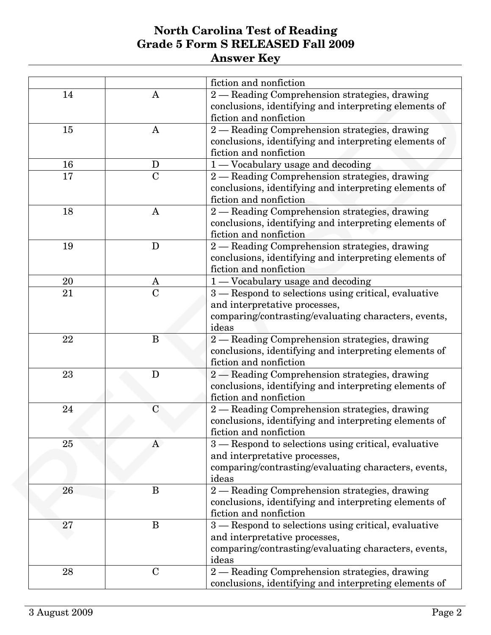|    |                | fiction and nonfiction                                |
|----|----------------|-------------------------------------------------------|
| 14 | A              | 2 - Reading Comprehension strategies, drawing         |
|    |                | conclusions, identifying and interpreting elements of |
|    |                | fiction and nonfiction                                |
| 15 | A              | 2 - Reading Comprehension strategies, drawing         |
|    |                | conclusions, identifying and interpreting elements of |
|    |                | fiction and nonfiction                                |
| 16 | D              | 1 - Vocabulary usage and decoding                     |
| 17 | $\overline{C}$ | 2 - Reading Comprehension strategies, drawing         |
|    |                | conclusions, identifying and interpreting elements of |
|    |                | fiction and nonfiction                                |
| 18 | A              | 2 - Reading Comprehension strategies, drawing         |
|    |                | conclusions, identifying and interpreting elements of |
|    |                | fiction and nonfiction                                |
| 19 | D              | 2 - Reading Comprehension strategies, drawing         |
|    |                | conclusions, identifying and interpreting elements of |
|    |                | fiction and nonfiction                                |
| 20 | A              | 1 — Vocabulary usage and decoding                     |
| 21 | $\mathbf C$    | 3 - Respond to selections using critical, evaluative  |
|    |                | and interpretative processes,                         |
|    |                | comparing/contrasting/evaluating characters, events,  |
|    |                | ideas                                                 |
| 22 | B              | 2 — Reading Comprehension strategies, drawing         |
|    |                | conclusions, identifying and interpreting elements of |
|    |                | fiction and nonfiction                                |
| 23 | D              | 2 - Reading Comprehension strategies, drawing         |
|    |                | conclusions, identifying and interpreting elements of |
|    |                | fiction and nonfiction                                |
| 24 | $\mathbf C$    | 2 - Reading Comprehension strategies, drawing         |
|    |                | conclusions, identifying and interpreting elements of |
|    |                | fiction and nonfiction                                |
| 25 | A              | 3 – Respond to selections using critical, evaluative  |
|    |                | and interpretative processes,                         |
|    |                | comparing/contrasting/evaluating characters, events,  |
|    |                | ideas                                                 |
| 26 | B              | 2 - Reading Comprehension strategies, drawing         |
|    |                | conclusions, identifying and interpreting elements of |
|    |                | fiction and nonfiction                                |
| 27 | $\bf{B}$       | 3 - Respond to selections using critical, evaluative  |
|    |                | and interpretative processes,                         |
|    |                | comparing/contrasting/evaluating characters, events,  |
|    |                | ideas                                                 |
| 28 | $\mathbf C$    | 2 - Reading Comprehension strategies, drawing         |
|    |                | conclusions, identifying and interpreting elements of |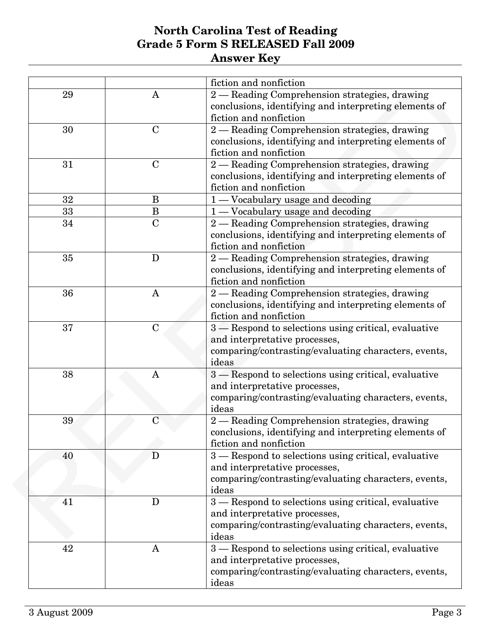|    |                | fiction and nonfiction                                |
|----|----------------|-------------------------------------------------------|
| 29 | A              | 2 - Reading Comprehension strategies, drawing         |
|    |                | conclusions, identifying and interpreting elements of |
|    |                | fiction and nonfiction                                |
| 30 | $\mathbf C$    | 2 - Reading Comprehension strategies, drawing         |
|    |                | conclusions, identifying and interpreting elements of |
|    |                | fiction and nonfiction                                |
| 31 | $\mathbf C$    | 2 - Reading Comprehension strategies, drawing         |
|    |                | conclusions, identifying and interpreting elements of |
|    |                | fiction and nonfiction                                |
| 32 | B              | 1 — Vocabulary usage and decoding                     |
| 33 | B              | 1 - Vocabulary usage and decoding                     |
| 34 | $\overline{C}$ | 2 - Reading Comprehension strategies, drawing         |
|    |                | conclusions, identifying and interpreting elements of |
|    |                | fiction and nonfiction                                |
| 35 | D              | 2 - Reading Comprehension strategies, drawing         |
|    |                | conclusions, identifying and interpreting elements of |
|    |                | fiction and nonfiction                                |
| 36 | $\mathbf{A}$   | 2 - Reading Comprehension strategies, drawing         |
|    |                | conclusions, identifying and interpreting elements of |
|    |                | fiction and nonfiction                                |
| 37 | $\mathbf C$    | 3 - Respond to selections using critical, evaluative  |
|    |                | and interpretative processes,                         |
|    |                | comparing/contrasting/evaluating characters, events,  |
|    |                | ideas                                                 |
| 38 | A              | 3 – Respond to selections using critical, evaluative  |
|    |                | and interpretative processes,                         |
|    |                | comparing/contrasting/evaluating characters, events,  |
|    |                | ideas                                                 |
| 39 | $\overline{C}$ | 2 - Reading Comprehension strategies, drawing         |
|    |                | conclusions, identifying and interpreting elements of |
|    |                | fiction and nonfiction                                |
| 40 | D              | 3 – Respond to selections using critical, evaluative  |
|    |                | and interpretative processes,                         |
|    |                | comparing/contrasting/evaluating characters, events,  |
|    |                | ideas                                                 |
| 41 | D              | 3 - Respond to selections using critical, evaluative  |
|    |                | and interpretative processes,                         |
|    |                | comparing/contrasting/evaluating characters, events,  |
|    |                | ideas                                                 |
| 42 | A              | 3 – Respond to selections using critical, evaluative  |
|    |                | and interpretative processes,                         |
|    |                | comparing/contrasting/evaluating characters, events,  |
|    |                |                                                       |
|    |                | ideas                                                 |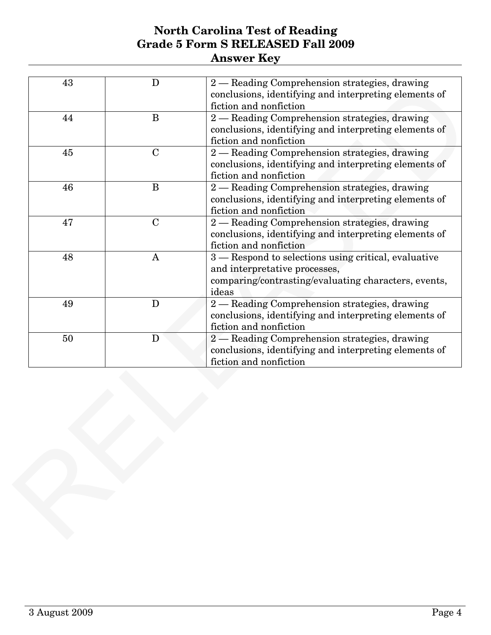| 43<br>2 - Reading Comprehension strategies, drawing<br>D<br>conclusions, identifying and interpreting elements of<br>fiction and nonfiction<br>2 - Reading Comprehension strategies, drawing<br>B<br>44<br>conclusions, identifying and interpreting elements of<br>fiction and nonfiction<br>2 - Reading Comprehension strategies, drawing<br>45<br>$\mathbf C$<br>conclusions, identifying and interpreting elements of<br>fiction and nonfiction<br>46<br>B<br>2 - Reading Comprehension strategies, drawing<br>conclusions, identifying and interpreting elements of<br>fiction and nonfiction<br>2 - Reading Comprehension strategies, drawing<br>47<br>$\mathbf C$<br>conclusions, identifying and interpreting elements of<br>fiction and nonfiction<br>3 – Respond to selections using critical, evaluative<br>48<br>A<br>and interpretative processes,<br>comparing/contrasting/evaluating characters, events,<br>ideas<br>2 - Reading Comprehension strategies, drawing<br>49<br>D<br>conclusions, identifying and interpreting elements of<br>fiction and nonfiction<br>2 - Reading Comprehension strategies, drawing<br>50<br>D |
|---------------------------------------------------------------------------------------------------------------------------------------------------------------------------------------------------------------------------------------------------------------------------------------------------------------------------------------------------------------------------------------------------------------------------------------------------------------------------------------------------------------------------------------------------------------------------------------------------------------------------------------------------------------------------------------------------------------------------------------------------------------------------------------------------------------------------------------------------------------------------------------------------------------------------------------------------------------------------------------------------------------------------------------------------------------------------------------------------------------------------------------------|
|                                                                                                                                                                                                                                                                                                                                                                                                                                                                                                                                                                                                                                                                                                                                                                                                                                                                                                                                                                                                                                                                                                                                             |
|                                                                                                                                                                                                                                                                                                                                                                                                                                                                                                                                                                                                                                                                                                                                                                                                                                                                                                                                                                                                                                                                                                                                             |
|                                                                                                                                                                                                                                                                                                                                                                                                                                                                                                                                                                                                                                                                                                                                                                                                                                                                                                                                                                                                                                                                                                                                             |
|                                                                                                                                                                                                                                                                                                                                                                                                                                                                                                                                                                                                                                                                                                                                                                                                                                                                                                                                                                                                                                                                                                                                             |
|                                                                                                                                                                                                                                                                                                                                                                                                                                                                                                                                                                                                                                                                                                                                                                                                                                                                                                                                                                                                                                                                                                                                             |
|                                                                                                                                                                                                                                                                                                                                                                                                                                                                                                                                                                                                                                                                                                                                                                                                                                                                                                                                                                                                                                                                                                                                             |
|                                                                                                                                                                                                                                                                                                                                                                                                                                                                                                                                                                                                                                                                                                                                                                                                                                                                                                                                                                                                                                                                                                                                             |
| conclusions, identifying and interpreting elements of<br>fiction and nonfiction                                                                                                                                                                                                                                                                                                                                                                                                                                                                                                                                                                                                                                                                                                                                                                                                                                                                                                                                                                                                                                                             |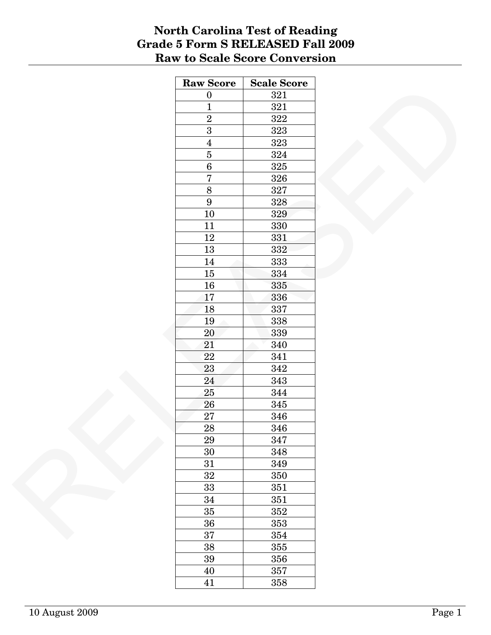### **North Carolina Test of Reading Grade 5 Form S RELEASED Fall 2009 Raw to Scale Score Conversion**

| <b>Raw Score</b>      | <b>Scale Score</b> |
|-----------------------|--------------------|
| $\boldsymbol{0}$      | $321\,$            |
| $\overline{1}$        | 321                |
| $\overline{2}$        | $322\,$            |
| $\overline{3}$        | 323                |
| $\overline{4}$        | $323\,$            |
| $\overline{5}$        | 324                |
| $\overline{6}$        | 325                |
| $\overline{7}$        | 326                |
| $\overline{8}$        | 327                |
| $\boldsymbol{9}$      | 328                |
| $10\,$                | 329                |
| 11                    | 330                |
| $12\,$                | 331                |
| $13\,$                | 332                |
| $14\,$                | 333                |
| $15\,$                | 334                |
| $16\,$                | 335                |
| 17                    | 336                |
| 18                    | 337                |
| $19\,$                | 338                |
| $20\,$                | 339                |
| 21                    | 340                |
| $22\,$                | 341                |
| 23                    | 342                |
| 24                    | 343                |
| $25\,$                | 344                |
| ${\bf 26}$            | 345                |
|                       |                    |
| 27<br>$\overline{28}$ | 346                |
|                       | 346                |
| 29                    | 347                |
| 30                    | 348                |
| 31                    | 349                |
| $32\,$                | 350                |
| 33                    | 351                |
| 34                    | $351\,$            |
| $35\,$                | 352                |
| $36\,$                | 353                |
| 37                    | 354                |
| $38\,$                | 355                |
| $39\,$                | 356                |
| $40\,$                | 357                |
| 41                    | 358                |